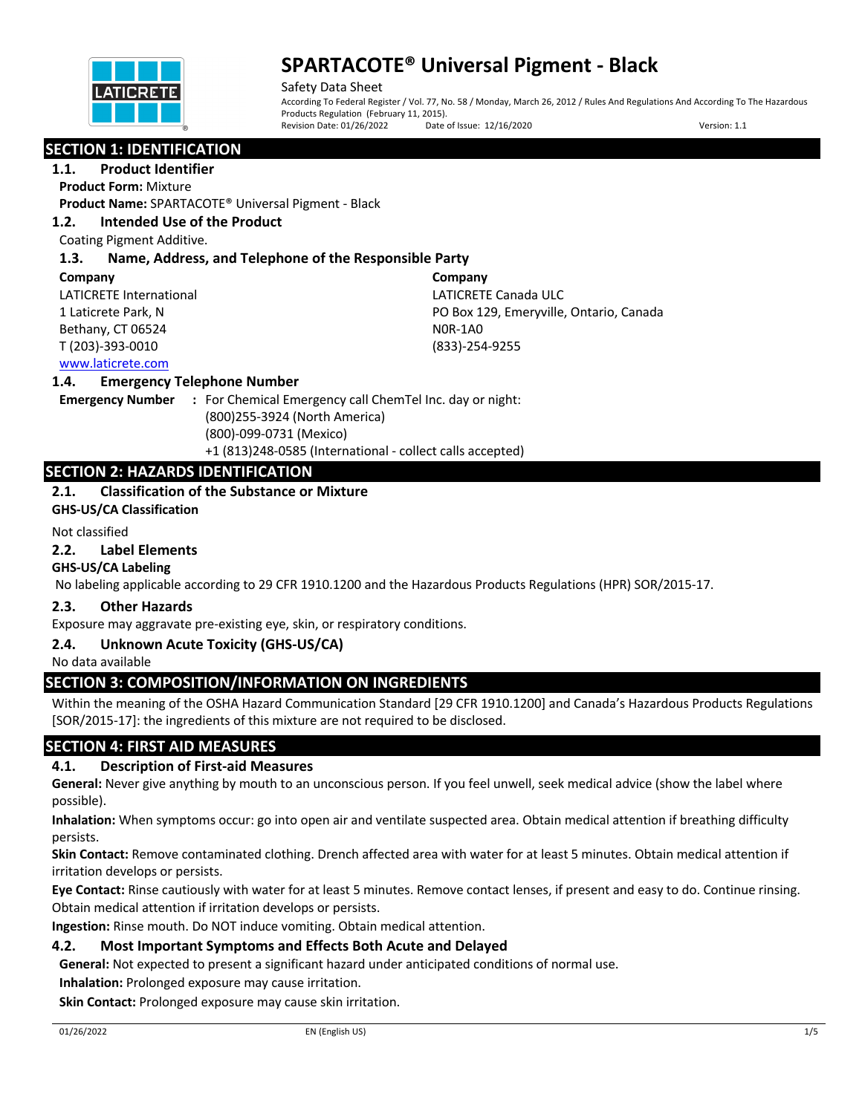

Safety Data Sheet According To Federal Register / Vol. 77, No. 58 / Monday, March 26, 2012 / Rules And Regulations And According To The Hazardous Products Regulation (February 11, 2015).<br>Revision Date: 01/26/2022 Date Date of Issue: 12/16/2020 Version: 1.1

# **SECTION 1: IDENTIFICATION**

**1.1. Product Identifier**

**Product Form:** Mixture

**Product Name:** SPARTACOTE® Universal Pigment - Black

## **1.2. Intended Use of the Product**

Coating Pigment Additive.

# **1.3. Name, Address, and Telephone of the Responsible Party**

#### **Company**

LATICRETE International 1 Laticrete Park, N Bethany, CT 06524 T (203)-393-0010

**Company** LATICRETE Canada ULC PO Box 129, Emeryville, Ontario, Canada N0R-1A0 (833)-254-9255

# www.laticrete.com

## **1.4. Emergency Telephone Number**

**Emergency Number :** For Chemical Emergency call ChemTel Inc. day or night: (800)255-3924 (North America) (800)-099-0731 (Mexico) +1 (813)248-0585 (International - collect calls accepted)

# **SECTION 2: HAZARDS IDENTIFICATION**

# **2.1. Classification of the Substance or Mixture**

**GHS-US/CA Classification**

## Not classified

## **2.2. Label Elements**

# **GHS-US/CA Labeling**

No labeling applicable according to 29 CFR 1910.1200 and the Hazardous Products Regulations (HPR) SOR/2015-17.

# **2.3. Other Hazards**

Exposure may aggravate pre-existing eye, skin, or respiratory conditions.

# **2.4. Unknown Acute Toxicity (GHS-US/CA)**

No data available

# **SECTION 3: COMPOSITION/INFORMATION ON INGREDIENTS**

Within the meaning of the OSHA Hazard Communication Standard [29 CFR 1910.1200] and Canada's Hazardous Products Regulations [SOR/2015-17]: the ingredients of this mixture are not required to be disclosed.

# **SECTION 4: FIRST AID MEASURES**

# **4.1. Description of First-aid Measures**

**General:** Never give anything by mouth to an unconscious person. If you feel unwell, seek medical advice (show the label where possible).

**Inhalation:** When symptoms occur: go into open air and ventilate suspected area. Obtain medical attention if breathing difficulty persists.

**Skin Contact:** Remove contaminated clothing. Drench affected area with water for at least 5 minutes. Obtain medical attention if irritation develops or persists.

**Eye Contact:** Rinse cautiously with water for at least 5 minutes. Remove contact lenses, if present and easy to do. Continue rinsing. Obtain medical attention if irritation develops or persists.

**Ingestion:** Rinse mouth. Do NOT induce vomiting. Obtain medical attention.

# **4.2. Most Important Symptoms and Effects Both Acute and Delayed**

**General:** Not expected to present a significant hazard under anticipated conditions of normal use.

**Inhalation:** Prolonged exposure may cause irritation.

**Skin Contact:** Prolonged exposure may cause skin irritation.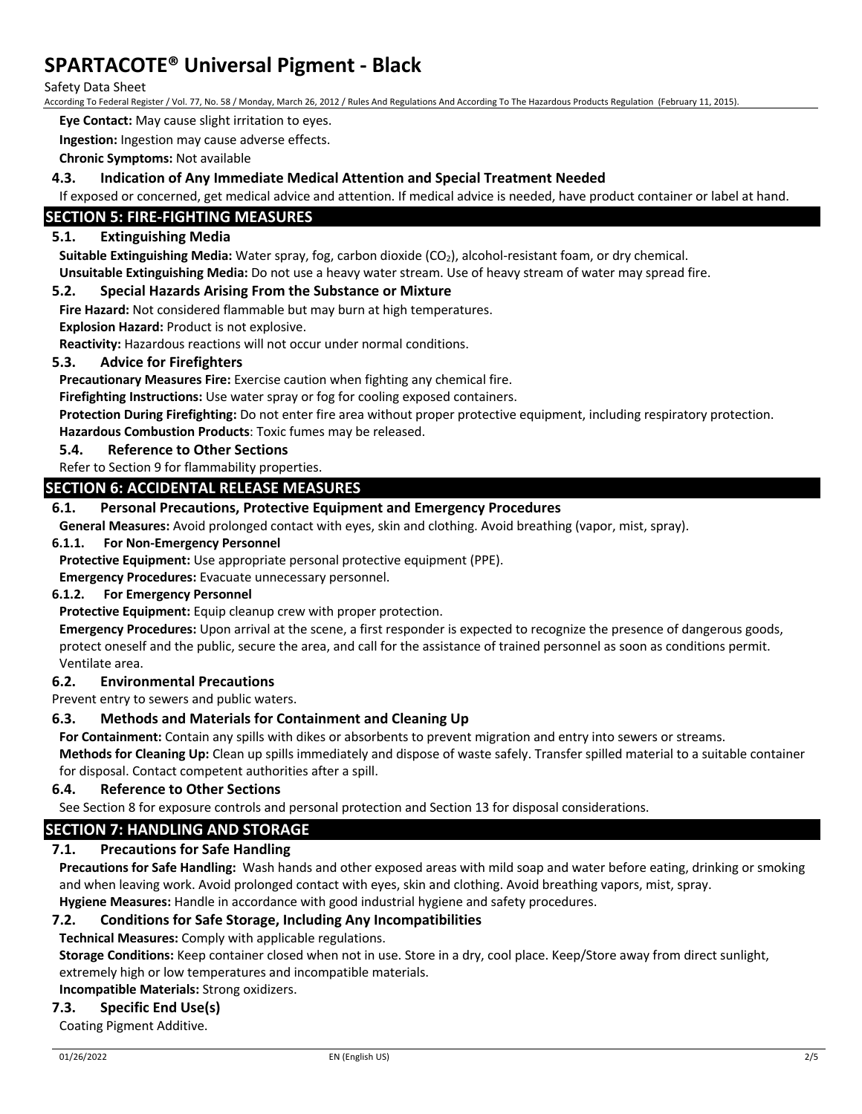Safety Data Sheet

According To Federal Register / Vol. 77, No. 58 / Monday, March 26, 2012 / Rules And Regulations And According To The Hazardous Products Regulation (February 11, 2015).

**Eye Contact:** May cause slight irritation to eyes.

**Ingestion:** Ingestion may cause adverse effects.

**Chronic Symptoms:** Not available

## **4.3. Indication of Any Immediate Medical Attention and Special Treatment Needed**

If exposed or concerned, get medical advice and attention. If medical advice is needed, have product container or label at hand.

## **SECTION 5: FIRE-FIGHTING MEASURES**

### **5.1. Extinguishing Media**

Suitable Extinguishing Media: Water spray, fog, carbon dioxide (CO<sub>2</sub>), alcohol-resistant foam, or dry chemical. **Unsuitable Extinguishing Media:** Do not use a heavy water stream. Use of heavy stream of water may spread fire.

#### **5.2. Special Hazards Arising From the Substance or Mixture**

**Fire Hazard:** Not considered flammable but may burn at high temperatures.

**Explosion Hazard:** Product is not explosive.

**Reactivity:** Hazardous reactions will not occur under normal conditions.

#### **5.3. Advice for Firefighters**

**Precautionary Measures Fire:** Exercise caution when fighting any chemical fire.

**Firefighting Instructions:** Use water spray or fog for cooling exposed containers.

**Protection During Firefighting:** Do not enter fire area without proper protective equipment, including respiratory protection. **Hazardous Combustion Products**: Toxic fumes may be released.

#### **5.4. Reference to Other Sections**

Refer to Section 9 for flammability properties.

## **SECTION 6: ACCIDENTAL RELEASE MEASURES**

## **6.1. Personal Precautions, Protective Equipment and Emergency Procedures**

**General Measures:** Avoid prolonged contact with eyes, skin and clothing. Avoid breathing (vapor, mist, spray).

#### **6.1.1. For Non-Emergency Personnel**

**Protective Equipment:** Use appropriate personal protective equipment (PPE).

**Emergency Procedures:** Evacuate unnecessary personnel.

## **6.1.2. For Emergency Personnel**

**Protective Equipment:** Equip cleanup crew with proper protection.

**Emergency Procedures:** Upon arrival at the scene, a first responder is expected to recognize the presence of dangerous goods, protect oneself and the public, secure the area, and call for the assistance of trained personnel as soon as conditions permit. Ventilate area.

#### **6.2. Environmental Precautions**

Prevent entry to sewers and public waters.

# **6.3. Methods and Materials for Containment and Cleaning Up**

**For Containment:** Contain any spills with dikes or absorbents to prevent migration and entry into sewers or streams.

**Methods for Cleaning Up:** Clean up spills immediately and dispose of waste safely. Transfer spilled material to a suitable container for disposal. Contact competent authorities after a spill.

## **6.4. Reference to Other Sections**

See Section 8 for exposure controls and personal protection and Section 13 for disposal considerations.

# **SECTION 7: HANDLING AND STORAGE**

## **7.1. Precautions for Safe Handling**

**Precautions for Safe Handling:** Wash hands and other exposed areas with mild soap and water before eating, drinking or smoking and when leaving work. Avoid prolonged contact with eyes, skin and clothing. Avoid breathing vapors, mist, spray. **Hygiene Measures:** Handle in accordance with good industrial hygiene and safety procedures.

## **7.2. Conditions for Safe Storage, Including Any Incompatibilities**

**Technical Measures:** Comply with applicable regulations.

**Storage Conditions:** Keep container closed when not in use. Store in a dry, cool place. Keep/Store away from direct sunlight, extremely high or low temperatures and incompatible materials.

**Incompatible Materials:** Strong oxidizers.

## **7.3. Specific End Use(s)**

Coating Pigment Additive.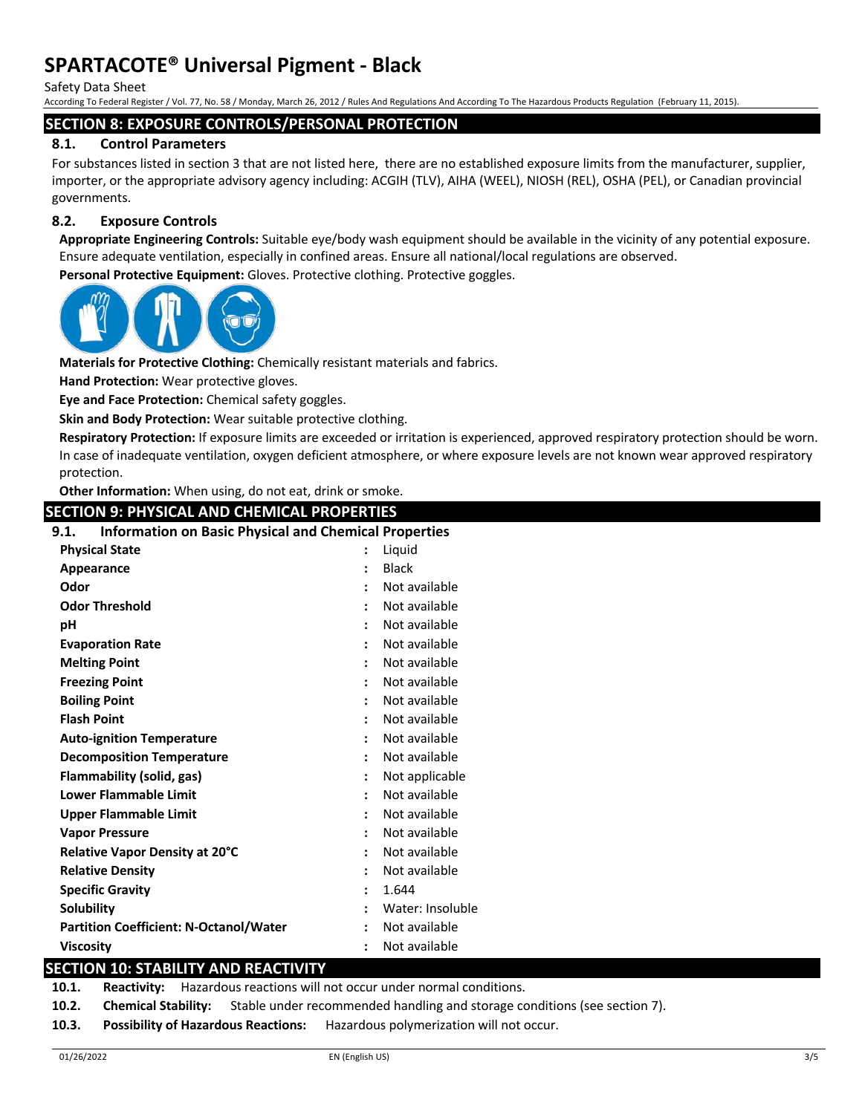Safety Data Sheet

According To Federal Register / Vol. 77, No. 58 / Monday, March 26, 2012 / Rules And Regulations And According To The Hazardous Products Regulation (February 11, 2015).

#### **SECTION 8: EXPOSURE CONTROLS/PERSONAL PROTECTION**

## **8.1. Control Parameters**

For substances listed in section 3 that are not listed here, there are no established exposure limits from the manufacturer, supplier, importer, or the appropriate advisory agency including: ACGIH (TLV), AIHA (WEEL), NIOSH (REL), OSHA (PEL), or Canadian provincial governments.

## **8.2. Exposure Controls**

**Appropriate Engineering Controls:** Suitable eye/body wash equipment should be available in the vicinity of any potential exposure. Ensure adequate ventilation, especially in confined areas. Ensure all national/local regulations are observed.

**Personal Protective Equipment:** Gloves. Protective clothing. Protective goggles.



**Materials for Protective Clothing:** Chemically resistant materials and fabrics.

**Hand Protection:** Wear protective gloves.

**Eye and Face Protection:** Chemical safety goggles.

**Skin and Body Protection:** Wear suitable protective clothing.

**Respiratory Protection:** If exposure limits are exceeded or irritation is experienced, approved respiratory protection should be worn. In case of inadequate ventilation, oxygen deficient atmosphere, or where exposure levels are not known wear approved respiratory protection.

**Other Information:** When using, do not eat, drink or smoke.

# **SECTION 9: PHYSICAL AND CHEMICAL PROPERTIES**

## **9.1. Information on Basic Physical and Chemical Properties**

| <b>Physical State</b>                         | Liquid           |
|-----------------------------------------------|------------------|
| Appearance                                    | <b>Black</b>     |
| Odor                                          | Not available    |
| <b>Odor Threshold</b>                         | Not available    |
| рH                                            | Not available    |
| <b>Evaporation Rate</b>                       | Not available    |
| <b>Melting Point</b>                          | Not available    |
| <b>Freezing Point</b>                         | Not available    |
| <b>Boiling Point</b>                          | Not available    |
| <b>Flash Point</b>                            | Not available    |
| <b>Auto-ignition Temperature</b>              | Not available    |
| <b>Decomposition Temperature</b>              | Not available    |
| Flammability (solid, gas)                     | Not applicable   |
| <b>Lower Flammable Limit</b>                  | Not available    |
| Upper Flammable Limit                         | Not available    |
| <b>Vapor Pressure</b>                         | Not available    |
| Relative Vapor Density at 20°C                | Not available    |
| <b>Relative Density</b>                       | Not available    |
| <b>Specific Gravity</b>                       | 1.644            |
| <b>Solubility</b>                             | Water: Insoluble |
| <b>Partition Coefficient: N-Octanol/Water</b> | Not available    |
| <b>Viscosity</b>                              | Not available    |

## **SECTION 10: STABILITY AND REACTIVITY**

**10.1. Reactivity:** Hazardous reactions will not occur under normal conditions.

- **10.2. Chemical Stability:** Stable under recommended handling and storage conditions (see section 7).
- **10.3. Possibility of Hazardous Reactions:** Hazardous polymerization will not occur.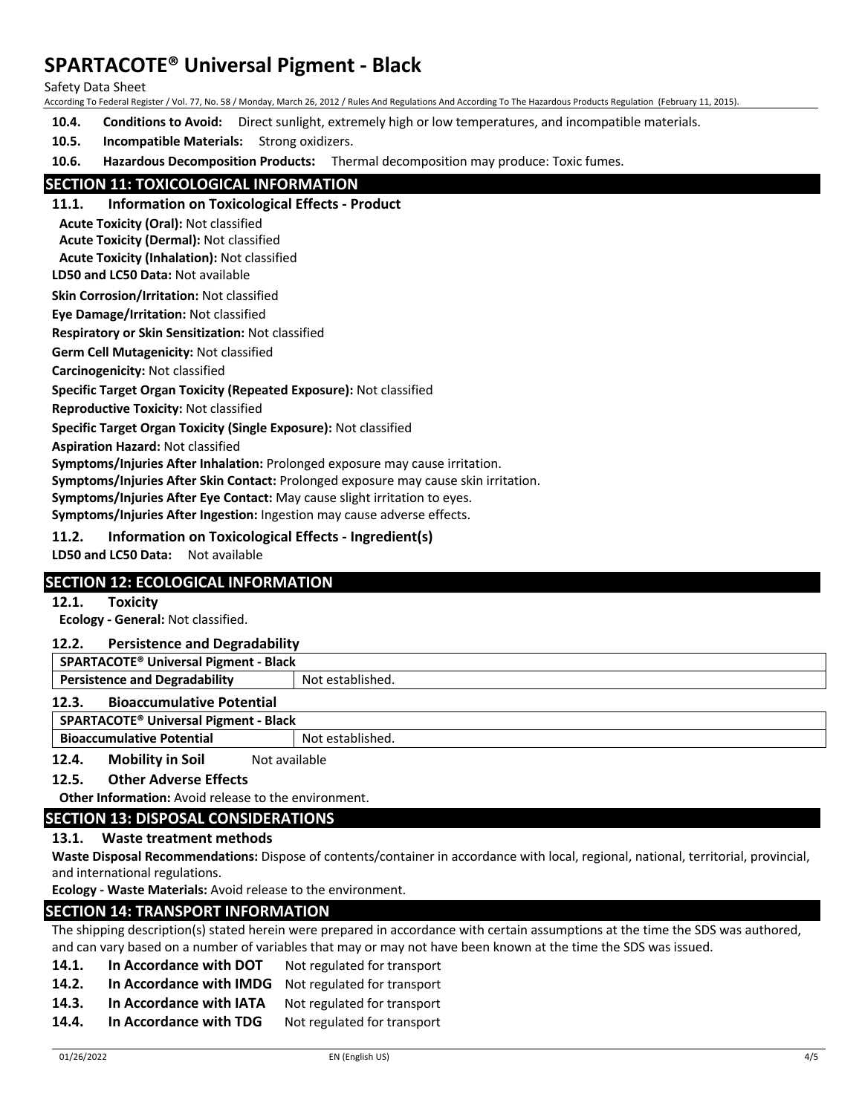Safety Data Sheet

According To Federal Register / Vol. 77, No. 58 / Monday, March 26, 2012 / Rules And Regulations And According To The Hazardous Products Regulation (February 11, 2015).

**10.4. Conditions to Avoid:** Direct sunlight, extremely high or low temperatures, and incompatible materials.

**10.5. Incompatible Materials:** Strong oxidizers.

**10.6. Hazardous Decomposition Products:** Thermal decomposition may produce: Toxic fumes.

## **SECTION 11: TOXICOLOGICAL INFORMATION**

**11.1. Information on Toxicological Effects - Product**

**Acute Toxicity (Oral):** Not classified

**Acute Toxicity (Dermal):** Not classified

**Acute Toxicity (Inhalation):** Not classified

**LD50 and LC50 Data:** Not available

**Skin Corrosion/Irritation:** Not classified

**Eye Damage/Irritation:** Not classified

**Respiratory or Skin Sensitization:** Not classified

**Germ Cell Mutagenicity:** Not classified

**Carcinogenicity:** Not classified

**Specific Target Organ Toxicity (Repeated Exposure):** Not classified

**Reproductive Toxicity:** Not classified

**Specific Target Organ Toxicity (Single Exposure):** Not classified

**Aspiration Hazard:** Not classified

**Symptoms/Injuries After Inhalation:** Prolonged exposure may cause irritation.

**Symptoms/Injuries After Skin Contact:** Prolonged exposure may cause skin irritation.

**Symptoms/Injuries After Eye Contact:** May cause slight irritation to eyes.

**Symptoms/Injuries After Ingestion:** Ingestion may cause adverse effects.

**11.2. Information on Toxicological Effects - Ingredient(s)**

**LD50 and LC50 Data:** Not available

## **SECTION 12: ECOLOGICAL INFORMATION**

#### **12.1. Toxicity**

**Ecology - General:** Not classified.

#### **12.2. Persistence and Degradability**

**SPARTACOTE® Universal Pigment - Black**

**Persistence and Degradability** Not established.

#### **12.3. Bioaccumulative Potential**

#### **SPARTACOTE® Universal Pigment - Black**

**Bioaccumulative Potential State Results** Not established.

**12.4. Mobility in Soil** Not available

#### **12.5. Other Adverse Effects**

**Other Information:** Avoid release to the environment.

## **SECTION 13: DISPOSAL CONSIDERATIONS**

### **13.1. Waste treatment methods**

**Waste Disposal Recommendations:** Dispose of contents/container in accordance with local, regional, national, territorial, provincial, and international regulations.

**Ecology - Waste Materials:** Avoid release to the environment.

## **SECTION 14: TRANSPORT INFORMATION**

The shipping description(s) stated herein were prepared in accordance with certain assumptions at the time the SDS was authored, and can vary based on a number of variables that may or may not have been known at the time the SDS was issued.

- 14.1. In Accordance with DOT Not regulated for transport
- **14.2. In Accordance with IMDG** Not regulated for transport
- **14.3. In Accordance with IATA** Not regulated for transport
- 14.4. In Accordance with TDG Not regulated for transport